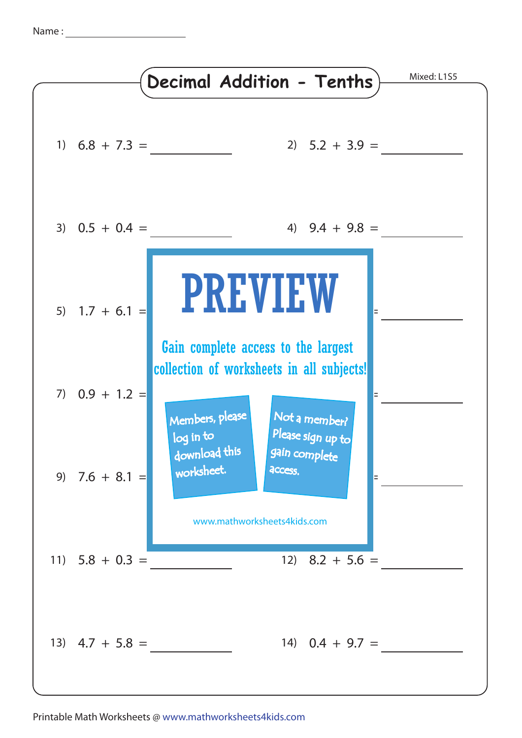